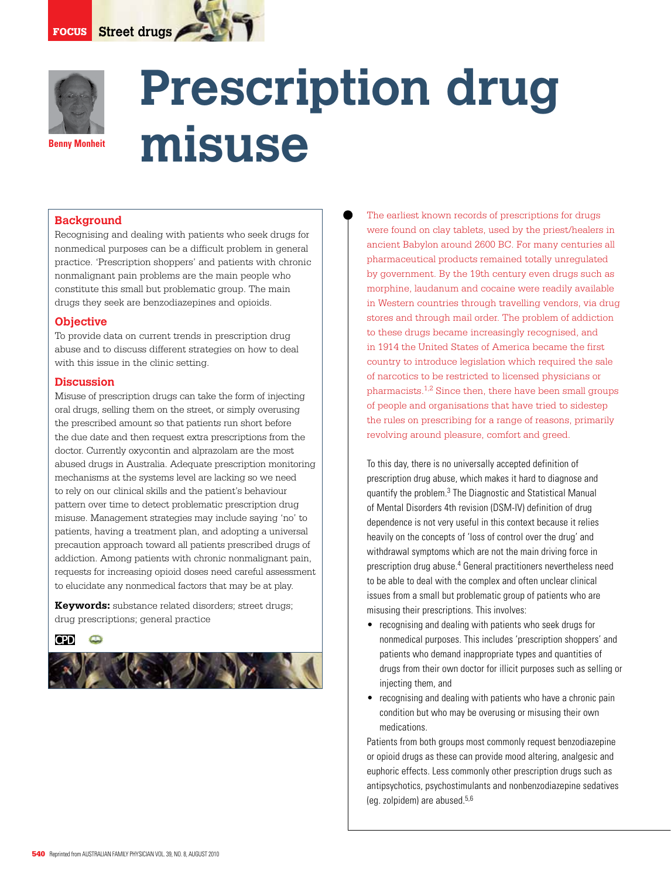

# **Prescription drug misuse**

### **Background**

Recognising and dealing with patients who seek drugs for nonmedical purposes can be a difficult problem in general practice. 'Prescription shoppers' and patients with chronic nonmalignant pain problems are the main people who constitute this small but problematic group. The main drugs they seek are benzodiazepines and opioids.

### **Objective**

To provide data on current trends in prescription drug abuse and to discuss different strategies on how to deal with this issue in the clinic setting.

#### **Discussion**

Misuse of prescription drugs can take the form of injecting oral drugs, selling them on the street, or simply overusing the prescribed amount so that patients run short before the due date and then request extra prescriptions from the doctor. Currently oxycontin and alprazolam are the most abused drugs in Australia. Adequate prescription monitoring mechanisms at the systems level are lacking so we need to rely on our clinical skills and the patient's behaviour pattern over time to detect problematic prescription drug misuse. Management strategies may include saying 'no' to patients, having a treatment plan, and adopting a universal precaution approach toward all patients prescribed drugs of addiction. Among patients with chronic nonmalignant pain, requests for increasing opioid doses need careful assessment to elucidate any nonmedical factors that may be at play.

**Keywords:** substance related disorders; street drugs; drug prescriptions; general practice

### **CPD**



The earliest known records of prescriptions for drugs were found on clay tablets, used by the priest/healers in ancient Babylon around 2600 BC. For many centuries all pharmaceutical products remained totally unregulated by government. By the 19th century even drugs such as morphine, laudanum and cocaine were readily available in Western countries through travelling vendors, via drug stores and through mail order. The problem of addiction to these drugs became increasingly recognised, and in 1914 the United States of America became the first country to introduce legislation which required the sale of narcotics to be restricted to licensed physicians or pharmacists.1,2 Since then, there have been small groups of people and organisations that have tried to sidestep the rules on prescribing for a range of reasons, primarily revolving around pleasure, comfort and greed.

To this day, there is no universally accepted definition of prescription drug abuse, which makes it hard to diagnose and quantify the problem.3 The Diagnostic and Statistical Manual of Mental Disorders 4th revision (DSM-IV) definition of drug dependence is not very useful in this context because it relies heavily on the concepts of 'loss of control over the drug' and withdrawal symptoms which are not the main driving force in prescription drug abuse.4 General practitioners nevertheless need to be able to deal with the complex and often unclear clinical issues from a small but problematic group of patients who are misusing their prescriptions. This involves:

- recognising and dealing with patients who seek drugs for nonmedical purposes. This includes 'prescription shoppers' and patients who demand inappropriate types and quantities of drugs from their own doctor for illicit purposes such as selling or injecting them, and
- recognising and dealing with patients who have a chronic pain condition but who may be overusing or misusing their own medications.

Patients from both groups most commonly request benzodiazepine or opioid drugs as these can provide mood altering, analgesic and euphoric effects. Less commonly other prescription drugs such as antipsychotics, psychostimulants and nonbenzodiazepine sedatives (eg. zolpidem) are abused.5,6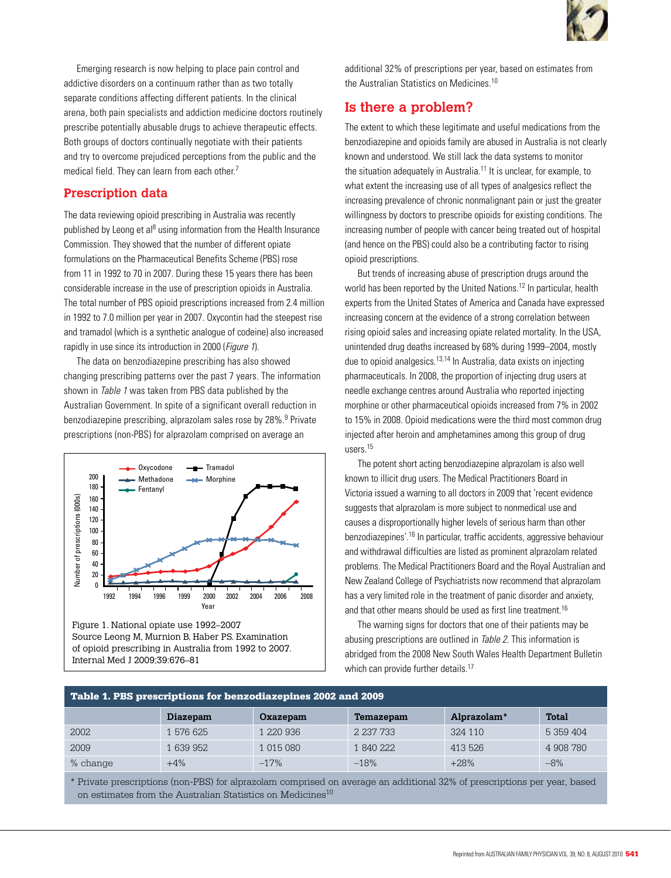

Emerging research is now helping to place pain control and addictive disorders on a continuum rather than as two totally separate conditions affecting different patients. In the clinical arena, both pain specialists and addiction medicine doctors routinely prescribe potentially abusable drugs to achieve therapeutic effects. Both groups of doctors continually negotiate with their patients and try to overcome prejudiced perceptions from the public and the medical field. They can learn from each other.7

## **Prescription data**

The data reviewing opioid prescribing in Australia was recently published by Leong et al<sup>8</sup> using information from the Health Insurance Commission. They showed that the number of different opiate formulations on the Pharmaceutical Benefits Scheme (PBS) rose from 11 in 1992 to 70 in 2007. During these 15 years there has been considerable increase in the use of prescription opioids in Australia. The total number of PBS opioid prescriptions increased from 2.4 million in 1992 to 7.0 million per year in 2007. Oxycontin had the steepest rise and tramadol (which is a synthetic analogue of codeine) also increased rapidly in use since its introduction in 2000 (*Figure 1*).

 The data on benzodiazepine prescribing has also showed changing prescribing patterns over the past 7 years. The information shown in Table 1 was taken from PBS data published by the Australian Government. In spite of a significant overall reduction in benzodiazepine prescribing, alprazolam sales rose by 28%.<sup>9</sup> Private prescriptions (non-PBS) for alprazolam comprised on average an



of opioid prescribing in Australia from 1992 to 2007. Internal Med J 2009;39:676–81

additional 32% of prescriptions per year, based on estimates from the Australian Statistics on Medicines.<sup>10</sup>

# **Is there a problem?**

The extent to which these legitimate and useful medications from the benzodiazepine and opioids family are abused in Australia is not clearly known and understood. We still lack the data systems to monitor the situation adequately in Australia.11 It is unclear, for example, to what extent the increasing use of all types of analgesics reflect the increasing prevalence of chronic nonmalignant pain or just the greater willingness by doctors to prescribe opioids for existing conditions. The increasing number of people with cancer being treated out of hospital (and hence on the PBS) could also be a contributing factor to rising opioid prescriptions.

But trends of increasing abuse of prescription drugs around the world has been reported by the United Nations.12 In particular, health experts from the United States of America and Canada have expressed increasing concern at the evidence of a strong correlation between rising opioid sales and increasing opiate related mortality. In the USA, unintended drug deaths increased by 68% during 1999–2004, mostly due to opioid analgesics.<sup>13,14</sup> In Australia, data exists on injecting pharmaceuticals. In 2008, the proportion of injecting drug users at needle exchange centres around Australia who reported injecting morphine or other pharmaceutical opioids increased from 7% in 2002 to 15% in 2008. Opioid medications were the third most common drug injected after heroin and amphetamines among this group of drug users.15

 The potent short acting benzodiazepine alprazolam is also well known to illicit drug users. The Medical Practitioners Board in Victoria issued a warning to all doctors in 2009 that 'recent evidence suggests that alprazolam is more subject to nonmedical use and causes a disproportionally higher levels of serious harm than other benzodiazepines'.16 In particular, traffic accidents, aggressive behaviour and withdrawal difficulties are listed as prominent alprazolam related problems. The Medical Practitioners Board and the Royal Australian and New Zealand College of Psychiatrists now recommend that alprazolam has a very limited role in the treatment of panic disorder and anxiety, and that other means should be used as first line treatment.<sup>16</sup>

 The warning signs for doctors that one of their patients may be abusing prescriptions are outlined in Table 2. This information is abridged from the 2008 New South Wales Health Department Bulletin which can provide further details.<sup>17</sup>

| Table 1. PBS prescriptions for benzodiazepines 2002 and 2009 |           |           |           |             |              |
|--------------------------------------------------------------|-----------|-----------|-----------|-------------|--------------|
|                                                              | Diazepam  | Oxazepam  | Temazepam | Alprazolam* | <b>Total</b> |
| 2002                                                         | 1 576 625 | 1 220 936 | 2 237 733 | 324 110     | 5 359 404    |
| 2009                                                         | 1 639 952 | 1 015 080 | 1 840 222 | 413 526     | 4 908 780    |
| % change                                                     | $+4%$     | $-17%$    | $-18%$    | $+28%$      | $-8%$        |

\* Private prescriptions (non-PBS) for alprazolam comprised on average an additional 32% of prescriptions per year, based on estimates from the Australian Statistics on Medicines<sup>10</sup>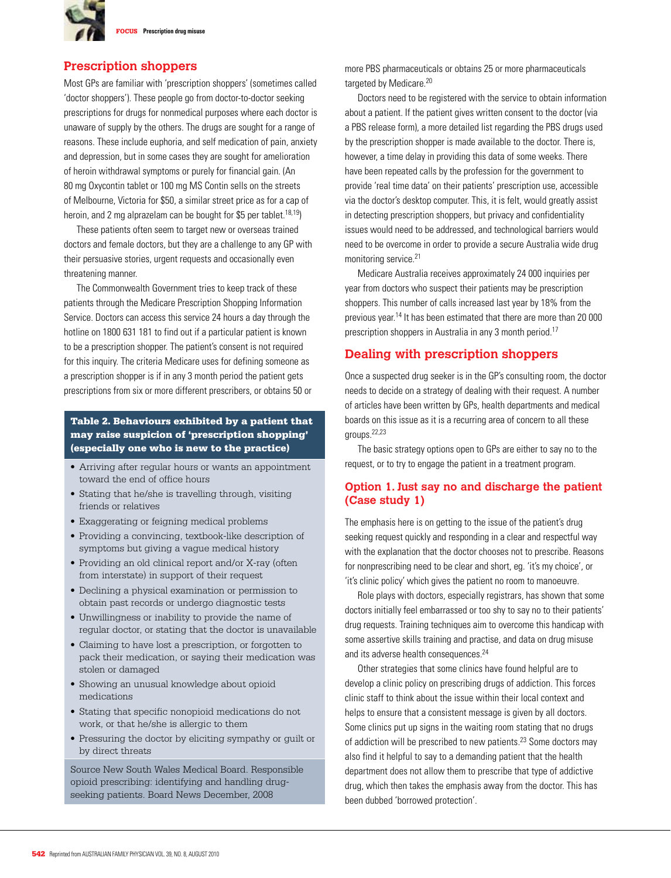

## **Prescription shoppers**

Most GPs are familiar with 'prescription shoppers' (sometimes called 'doctor shoppers'). These people go from doctor-to-doctor seeking prescriptions for drugs for nonmedical purposes where each doctor is unaware of supply by the others. The drugs are sought for a range of reasons. These include euphoria, and self medication of pain, anxiety and depression, but in some cases they are sought for amelioration of heroin withdrawal symptoms or purely for financial gain. (An 80 mg Oxycontin tablet or 100 mg MS Contin sells on the streets of Melbourne, Victoria for \$50, a similar street price as for a cap of heroin, and 2 mg alprazelam can be bought for \$5 per tablet.<sup>18,19</sup>)

 These patients often seem to target new or overseas trained doctors and female doctors, but they are a challenge to any GP with their persuasive stories, urgent requests and occasionally even threatening manner.

 The Commonwealth Government tries to keep track of these patients through the Medicare Prescription Shopping Information Service. Doctors can access this service 24 hours a day through the hotline on 1800 631 181 to find out if a particular patient is known to be a prescription shopper. The patient's consent is not required for this inquiry. The criteria Medicare uses for defining someone as a prescription shopper is if in any 3 month period the patient gets prescriptions from six or more different prescribers, or obtains 50 or

#### Table 2. Behaviours exhibited by a patient that may raise suspicion of 'prescription shopping' (especially one who is new to the practice)

- • Arriving after regular hours or wants an appointment toward the end of office hours
- • Stating that he/she is travelling through, visiting friends or relatives
- Exaggerating or feigning medical problems
- Providing a convincing, textbook-like description of symptoms but giving a vague medical history
- Providing an old clinical report and/or X-ray (often from interstate) in support of their request
- Declining a physical examination or permission to obtain past records or undergo diagnostic tests
- Unwillingness or inability to provide the name of regular doctor, or stating that the doctor is unavailable
- • Claiming to have lost a prescription, or forgotten to pack their medication, or saying their medication was stolen or damaged
- • Showing an unusual knowledge about opioid medications
- • Stating that specific nonopioid medications do not work, or that he/she is allergic to them
- • Pressuring the doctor by eliciting sympathy or guilt or by direct threats

Source New South Wales Medical Board. Responsible opioid prescribing: identifying and handling drugseeking patients. Board News December, 2008

more PBS pharmaceuticals or obtains 25 or more pharmaceuticals targeted by Medicare.<sup>20</sup>

Doctors need to be registered with the service to obtain information about a patient. If the patient gives written consent to the doctor (via a PBS release form), a more detailed list regarding the PBS drugs used by the prescription shopper is made available to the doctor. There is, however, a time delay in providing this data of some weeks. There have been repeated calls by the profession for the government to provide 'real time data' on their patients' prescription use, accessible via the doctor's desktop computer. This, it is felt, would greatly assist in detecting prescription shoppers, but privacy and confidentiality issues would need to be addressed, and technological barriers would need to be overcome in order to provide a secure Australia wide drug monitoring service.21

 Medicare Australia receives approximately 24 000 inquiries per year from doctors who suspect their patients may be prescription shoppers. This number of calls increased last year by 18% from the previous year.14 It has been estimated that there are more than 20 000 prescription shoppers in Australia in any 3 month period.<sup>17</sup>

## **Dealing with prescription shoppers**

Once a suspected drug seeker is in the GP's consulting room, the doctor needs to decide on a strategy of dealing with their request. A number of articles have been written by GPs, health departments and medical boards on this issue as it is a recurring area of concern to all these groups.22,23

 The basic strategy options open to GPs are either to say no to the request, or to try to engage the patient in a treatment program.

### **Option 1. Just say no and discharge the patient (Case study 1)**

The emphasis here is on getting to the issue of the patient's drug seeking request quickly and responding in a clear and respectful way with the explanation that the doctor chooses not to prescribe. Reasons for nonprescribing need to be clear and short, eg. 'it's my choice', or 'it's clinic policy' which gives the patient no room to manoeuvre.

Role plays with doctors, especially registrars, has shown that some doctors initially feel embarrassed or too shy to say no to their patients' drug requests. Training techniques aim to overcome this handicap with some assertive skills training and practise, and data on drug misuse and its adverse health consequences.<sup>24</sup>

 Other strategies that some clinics have found helpful are to develop a clinic policy on prescribing drugs of addiction. This forces clinic staff to think about the issue within their local context and helps to ensure that a consistent message is given by all doctors. Some clinics put up signs in the waiting room stating that no drugs of addiction will be prescribed to new patients.<sup>23</sup> Some doctors may also find it helpful to say to a demanding patient that the health department does not allow them to prescribe that type of addictive drug, which then takes the emphasis away from the doctor. This has been dubbed 'borrowed protection'.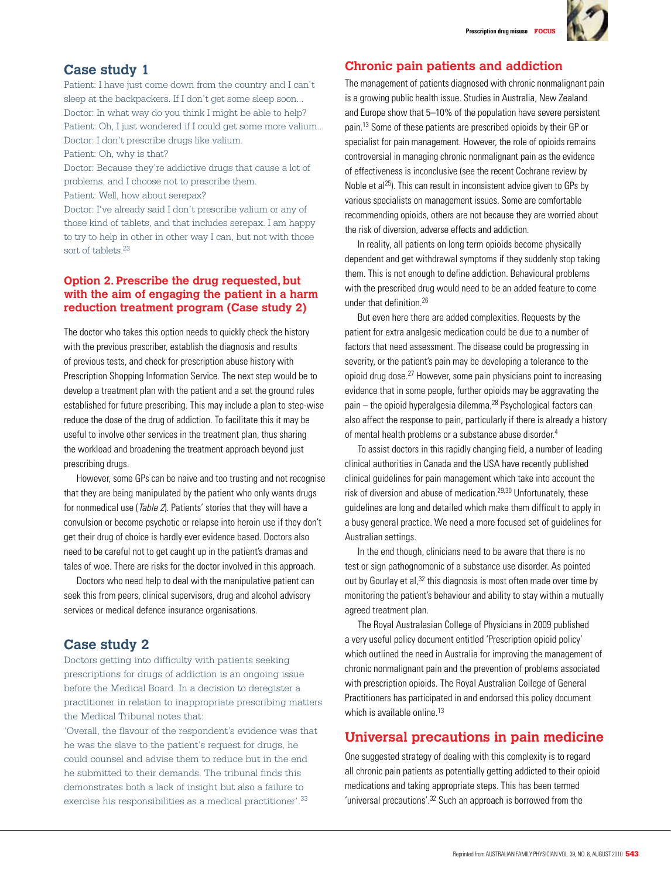

## **Case study 1**

Patient: I have just come down from the country and I can't sleep at the backpackers. If I don't get some sleep soon... Doctor: In what way do you think I might be able to help? Patient: Oh, I just wondered if I could get some more valium... Doctor: I don't prescribe drugs like valium.

Patient: Oh, why is that?

Doctor: Because they're addictive drugs that cause a lot of problems, and I choose not to prescribe them.

Patient: Well, how about serepax?

Doctor: I've already said I don't prescribe valium or any of those kind of tablets, and that includes serepax. I am happy to try to help in other in other way I can, but not with those sort of tablets.<sup>23</sup>

## **Option 2. Prescribe the drug requested, but with the aim of engaging the patient in a harm reduction treatment program (Case study 2)**

The doctor who takes this option needs to quickly check the history with the previous prescriber, establish the diagnosis and results of previous tests, and check for prescription abuse history with Prescription Shopping Information Service. The next step would be to develop a treatment plan with the patient and a set the ground rules established for future prescribing. This may include a plan to step-wise reduce the dose of the drug of addiction. To facilitate this it may be useful to involve other services in the treatment plan, thus sharing the workload and broadening the treatment approach beyond just prescribing drugs.

 However, some GPs can be naive and too trusting and not recognise that they are being manipulated by the patient who only wants drugs for nonmedical use (Table 2). Patients' stories that they will have a convulsion or become psychotic or relapse into heroin use if they don't get their drug of choice is hardly ever evidence based. Doctors also need to be careful not to get caught up in the patient's dramas and tales of woe. There are risks for the doctor involved in this approach.

Doctors who need help to deal with the manipulative patient can seek this from peers, clinical supervisors, drug and alcohol advisory services or medical defence insurance organisations.

# **Case study 2**

Doctors getting into difficulty with patients seeking prescriptions for drugs of addiction is an ongoing issue before the Medical Board. In a decision to deregister a practitioner in relation to inappropriate prescribing matters the Medical Tribunal notes that:

'Overall, the flavour of the respondent's evidence was that he was the slave to the patient's request for drugs, he could counsel and advise them to reduce but in the end he submitted to their demands. The tribunal finds this demonstrates both a lack of insight but also a failure to exercise his responsibilities as a medical practitioner'.33

## **Chronic pain patients and addiction**

The management of patients diagnosed with chronic nonmalignant pain is a growing public health issue. Studies in Australia, New Zealand and Europe show that 5–10% of the population have severe persistent pain.13 Some of these patients are prescribed opioids by their GP or specialist for pain management. However, the role of opioids remains controversial in managing chronic nonmalignant pain as the evidence of effectiveness is inconclusive (see the recent Cochrane review by Noble et al<sup>25</sup>). This can result in inconsistent advice given to GPs by various specialists on management issues. Some are comfortable recommending opioids, others are not because they are worried about the risk of diversion, adverse effects and addiction.

 In reality, all patients on long term opioids become physically dependent and get withdrawal symptoms if they suddenly stop taking them. This is not enough to define addiction. Behavioural problems with the prescribed drug would need to be an added feature to come under that definition.26

But even here there are added complexities. Requests by the patient for extra analgesic medication could be due to a number of factors that need assessment. The disease could be progressing in severity, or the patient's pain may be developing a tolerance to the opioid drug dose.27 However, some pain physicians point to increasing evidence that in some people, further opioids may be aggravating the pain – the opioid hyperalgesia dilemma.<sup>28</sup> Psychological factors can also affect the response to pain, particularly if there is already a history of mental health problems or a substance abuse disorder.4

 To assist doctors in this rapidly changing field, a number of leading clinical authorities in Canada and the USA have recently published clinical guidelines for pain management which take into account the risk of diversion and abuse of medication.29,30 Unfortunately, these guidelines are long and detailed which make them difficult to apply in a busy general practice. We need a more focused set of guidelines for Australian settings.

 In the end though, clinicians need to be aware that there is no test or sign pathognomonic of a substance use disorder. As pointed out by Gourlay et al,<sup>32</sup> this diagnosis is most often made over time by monitoring the patient's behaviour and ability to stay within a mutually agreed treatment plan.

 The Royal Australasian College of Physicians in 2009 published a very useful policy document entitled 'Prescription opioid policy' which outlined the need in Australia for improving the management of chronic nonmalignant pain and the prevention of problems associated with prescription opioids. The Royal Australian College of General Practitioners has participated in and endorsed this policy document which is available online.<sup>13</sup>

# **Universal precautions in pain medicine**

One suggested strategy of dealing with this complexity is to regard all chronic pain patients as potentially getting addicted to their opioid medications and taking appropriate steps. This has been termed 'universal precautions'.<sup>32</sup> Such an approach is borrowed from the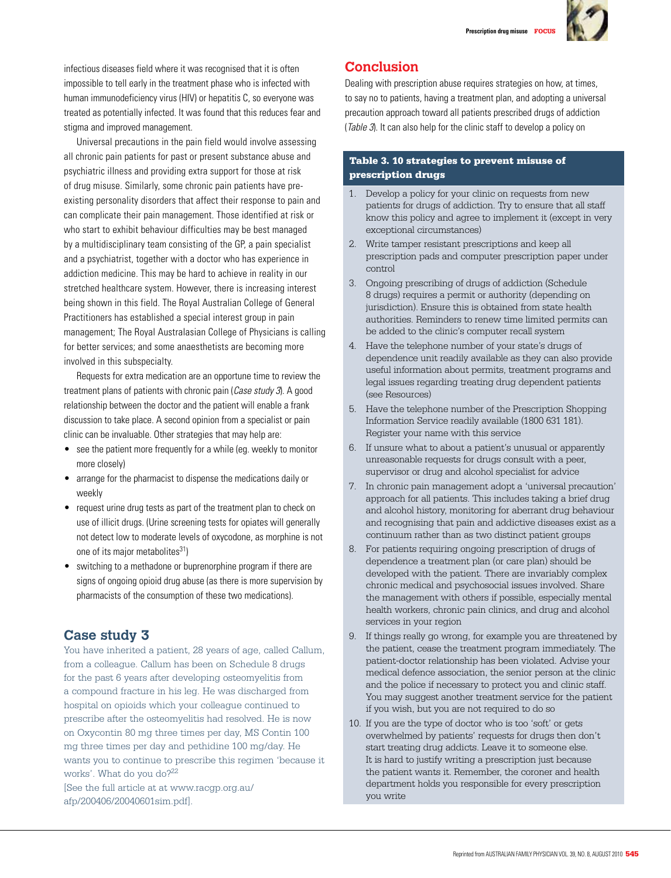

infectious diseases field where it was recognised that it is often impossible to tell early in the treatment phase who is infected with human immunodeficiency virus (HIV) or hepatitis C, so everyone was treated as potentially infected. It was found that this reduces fear and stigma and improved management.

 Universal precautions in the pain field would involve assessing all chronic pain patients for past or present substance abuse and psychiatric illness and providing extra support for those at risk of drug misuse. Similarly, some chronic pain patients have preexisting personality disorders that affect their response to pain and can complicate their pain management. Those identified at risk or who start to exhibit behaviour difficulties may be best managed by a multidisciplinary team consisting of the GP, a pain specialist and a psychiatrist, together with a doctor who has experience in addiction medicine. This may be hard to achieve in reality in our stretched healthcare system. However, there is increasing interest being shown in this field. The Royal Australian College of General Practitioners has established a special interest group in pain management; The Royal Australasian College of Physicians is calling for better services; and some anaesthetists are becoming more involved in this subspecialty.

Requests for extra medication are an opportune time to review the treatment plans of patients with chronic pain (Case study 3). A good relationship between the doctor and the patient will enable a frank discussion to take place. A second opinion from a specialist or pain clinic can be invaluable. Other strategies that may help are:

- see the patient more frequently for a while (eg. weekly to monitor more closely)
- arrange for the pharmacist to dispense the medications daily or weekly
- request urine drug tests as part of the treatment plan to check on use of illicit drugs. (Urine screening tests for opiates will generally not detect low to moderate levels of oxycodone, as morphine is not one of its major metabolites $^{31}$ )
- switching to a methadone or buprenorphine program if there are signs of ongoing opioid drug abuse (as there is more supervision by pharmacists of the consumption of these two medications).

# **Case study 3**

You have inherited a patient, 28 years of age, called Callum, from a colleague. Callum has been on Schedule 8 drugs for the past 6 years after developing osteomyelitis from a compound fracture in his leg. He was discharged from hospital on opioids which your colleague continued to prescribe after the osteomyelitis had resolved. He is now on Oxycontin 80 mg three times per day, MS Contin 100 mg three times per day and pethidine 100 mg/day. He wants you to continue to prescribe this regimen 'because it works'. What do you do?<sup>22</sup>

[See the full article at at www.racgp.org.au/ afp/200406/20040601sim.pdf].

# **Conclusion**

Dealing with prescription abuse requires strategies on how, at times, to say no to patients, having a treatment plan, and adopting a universal precaution approach toward all patients prescribed drugs of addiction (Table 3). It can also help for the clinic staff to develop a policy on

#### Table 3. 10 strategies to prevent misuse of prescription drugs

- 1. Develop a policy for your clinic on requests from new patients for drugs of addiction. Try to ensure that all staff know this policy and agree to implement it (except in very exceptional circumstances)
- 2. Write tamper resistant prescriptions and keep all prescription pads and computer prescription paper under control
- 3. Ongoing prescribing of drugs of addiction (Schedule 8 drugs) requires a permit or authority (depending on jurisdiction). Ensure this is obtained from state health authorities. Reminders to renew time limited permits can be added to the clinic's computer recall system
- 4. Have the telephone number of your state's drugs of dependence unit readily available as they can also provide useful information about permits, treatment programs and legal issues regarding treating drug dependent patients (see Resources)
- 5. Have the telephone number of the Prescription Shopping Information Service readily available (1800 631 181). Register your name with this service
- 6. If unsure what to about a patient's unusual or apparently unreasonable requests for drugs consult with a peer, supervisor or drug and alcohol specialist for advice
- 7. In chronic pain management adopt a 'universal precaution' approach for all patients. This includes taking a brief drug and alcohol history, monitoring for aberrant drug behaviour and recognising that pain and addictive diseases exist as a continuum rather than as two distinct patient groups
- 8. For patients requiring ongoing prescription of drugs of dependence a treatment plan (or care plan) should be developed with the patient. There are invariably complex chronic medical and psychosocial issues involved. Share the management with others if possible, especially mental health workers, chronic pain clinics, and drug and alcohol services in your region
- 9. If things really go wrong, for example you are threatened by the patient, cease the treatment program immediately. The patient-doctor relationship has been violated. Advise your medical defence association, the senior person at the clinic and the police if necessary to protect you and clinic staff. You may suggest another treatment service for the patient if you wish, but you are not required to do so
- 10. If you are the type of doctor who is too 'soft' or gets overwhelmed by patients' requests for drugs then don't start treating drug addicts. Leave it to someone else. It is hard to justify writing a prescription just because the patient wants it. Remember, the coroner and health department holds you responsible for every prescription you write